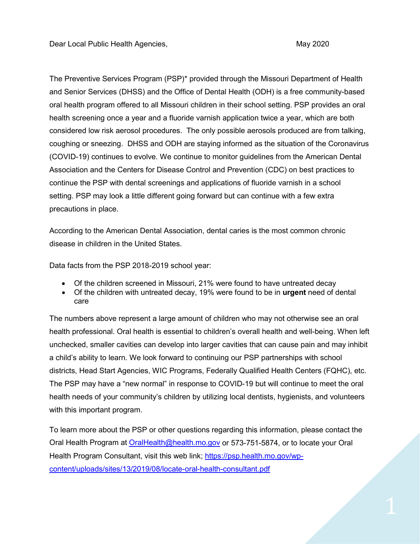The Preventive Services Program (PSP)\* provided through the Missouri Department of Health and Senior Services (DHSS) and the Office of Dental Health (ODH) is a free community-based oral health program offered to all Missouri children in their school setting. PSP provides an oral health screening once a year and a fluoride varnish application twice a year, which are both considered low risk aerosol procedures. The only possible aerosols produced are from talking, coughing or sneezing. DHSS and ODH are staying informed as the situation of the Coronavirus (COVID-19) continues to evolve. We continue to monitor guidelines from the American Dental Association and the Centers for Disease Control and Prevention (CDC) on best practices to continue the PSP with dental screenings and applications of fluoride varnish in a school setting. PSP may look a little different going forward but can continue with a few extra precautions in place.

According to the American Dental Association, dental caries is the most common chronic disease in children in the United States.

Data facts from the PSP 2018-2019 school year:

- Of the children screened in Missouri, 21% were found to have untreated decay
- Of the children with untreated decay, 19% were found to be in **urgent** need of dental care

The numbers above represent a large amount of children who may not otherwise see an oral health professional. Oral health is essential to children's overall health and well-being. When left unchecked, smaller cavities can develop into larger cavities that can cause pain and may inhibit a child's ability to learn. We look forward to continuing our PSP partnerships with school districts, Head Start Agencies, WIC Programs, Federally Qualified Health Centers (FQHC), etc. The PSP may have a "new normal" in response to COVID-19 but will continue to meet the oral health needs of your community's children by utilizing local dentists, hygienists, and volunteers with this important program.

To learn more about the PSP or other questions regarding this information, please contact the Oral Health Program at [OralHealth@health.mo.gov](mailto:OralHealth@health.mo.gov) or 573-751-5874, or to locate your Oral Health Program Consultant, visit this web link; [https://psp.health.mo.gov/wp](https://psp.health.mo.gov/wp-content/uploads/sites/13/2019/08/locate-oral-health-consultant.pdf)[content/uploads/sites/13/2019/08/locate-oral-health-consultant.pdf](https://psp.health.mo.gov/wp-content/uploads/sites/13/2019/08/locate-oral-health-consultant.pdf)